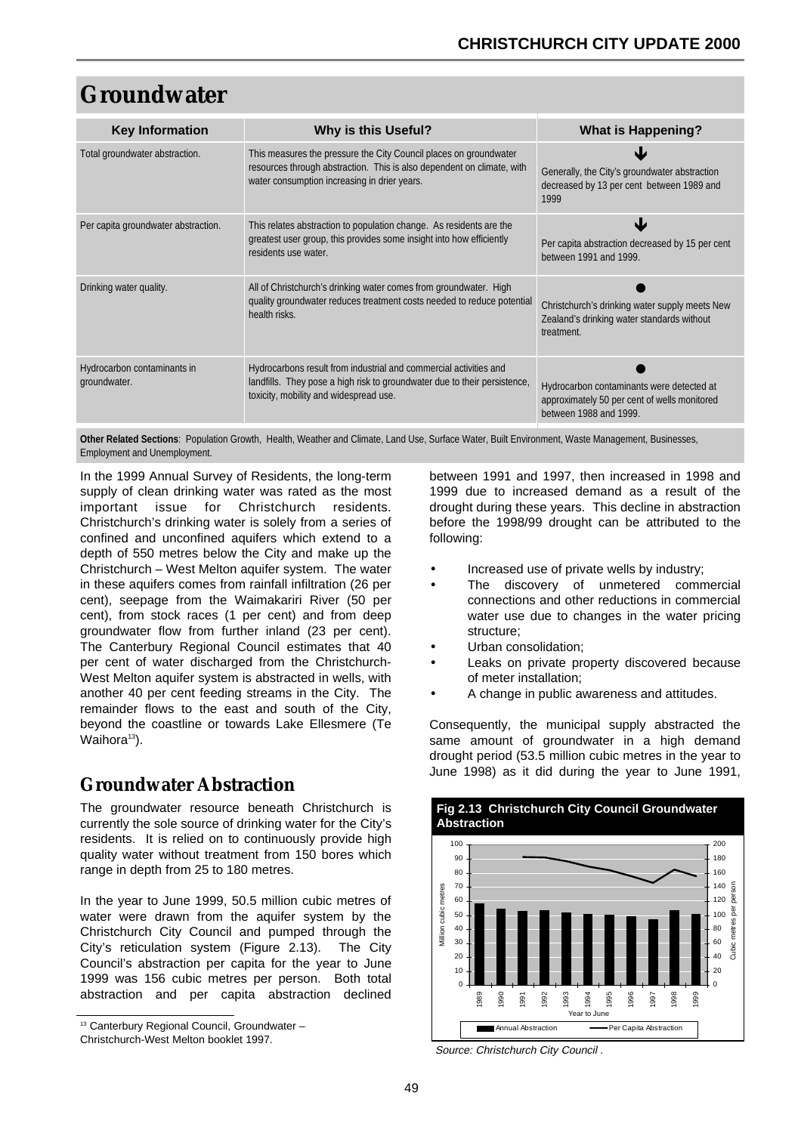# **Groundwater**

| <b>Key Information</b>                      | <b>Why is this Useful?</b>                                                                                                                                                                  | What is Happening?                                                                                                  |
|---------------------------------------------|---------------------------------------------------------------------------------------------------------------------------------------------------------------------------------------------|---------------------------------------------------------------------------------------------------------------------|
| Total groundwater abstraction.              | This measures the pressure the City Council places on groundwater<br>resources through abstraction. This is also dependent on climate, with<br>water consumption increasing in drier years. | Generally, the City's groundwater abstraction<br>decreased by 13 per cent between 1989 and<br>1999                  |
| Per capita groundwater abstraction.         | This relates abstraction to population change. As residents are the<br>greatest user group, this provides some insight into how efficiently<br>residents use water.                         | W<br>Per capita abstraction decreased by 15 per cent<br>between 1991 and 1999.                                      |
| Drinking water quality.                     | All of Christchurch's drinking water comes from groundwater. High<br>quality groundwater reduces treatment costs needed to reduce potential<br>health risks.                                | Christchurch's drinking water supply meets New<br>Zealand's drinking water standards without<br>treatment.          |
| Hydrocarbon contaminants in<br>groundwater. | Hydrocarbons result from industrial and commercial activities and<br>landfills. They pose a high risk to groundwater due to their persistence,<br>toxicity, mobility and widespread use.    | Hydrocarbon contaminants were detected at<br>approximately 50 per cent of wells monitored<br>between 1988 and 1999. |

**Other Related Sections**: Population Growth, Health, Weather and Climate, Land Use, Surface Water, Built Environment, Waste Management, Businesses, Employment and Unemployment.

In the 1999 Annual Survey of Residents, the long-term supply of clean drinking water was rated as the most important issue for Christchurch residents. Christchurch's drinking water is solely from a series of confined and unconfined aquifers which extend to a depth of 550 metres below the City and make up the Christchurch – West Melton aquifer system. The water in these aquifers comes from rainfall infiltration (26 per cent), seepage from the Waimakariri River (50 per cent), from stock races (1 per cent) and from deep groundwater flow from further inland (23 per cent). The Canterbury Regional Council estimates that 40 per cent of water discharged from the Christchurch-West Melton aquifer system is abstracted in wells, with another 40 per cent feeding streams in the City. The remainder flows to the east and south of the City, beyond the coastline or towards Lake Ellesmere (Te Waihora<sup>13</sup>).

# **Groundwater Abstraction**

The groundwater resource beneath Christchurch is currently the sole source of drinking water for the City's residents. It is relied on to continuously provide high quality water without treatment from 150 bores which range in depth from 25 to 180 metres.

In the year to June 1999, 50.5 million cubic metres of water were drawn from the aquifer system by the Christchurch City Council and pumped through the City's reticulation system (Figure 2.13). The City Council's abstraction per capita for the year to June 1999 was 156 cubic metres per person. Both total abstraction and per capita abstraction declined

between 1991 and 1997, then increased in 1998 and 1999 due to increased demand as a result of the drought during these years. This decline in abstraction before the 1998/99 drought can be attributed to the following:

- Increased use of private wells by industry;
- The discovery of unmetered commercial connections and other reductions in commercial water use due to changes in the water pricing structure;
- Urban consolidation;
- Leaks on private property discovered because of meter installation;
- A change in public awareness and attitudes.

Consequently, the municipal supply abstracted the same amount of groundwater in a high demand drought period (53.5 million cubic metres in the year to June 1998) as it did during the year to June 1991,

**Fig 2.13 Christchurch City Council Groundwater** 



Source: Christchurch City Council .

Christchurch-West Melton booklet 1997.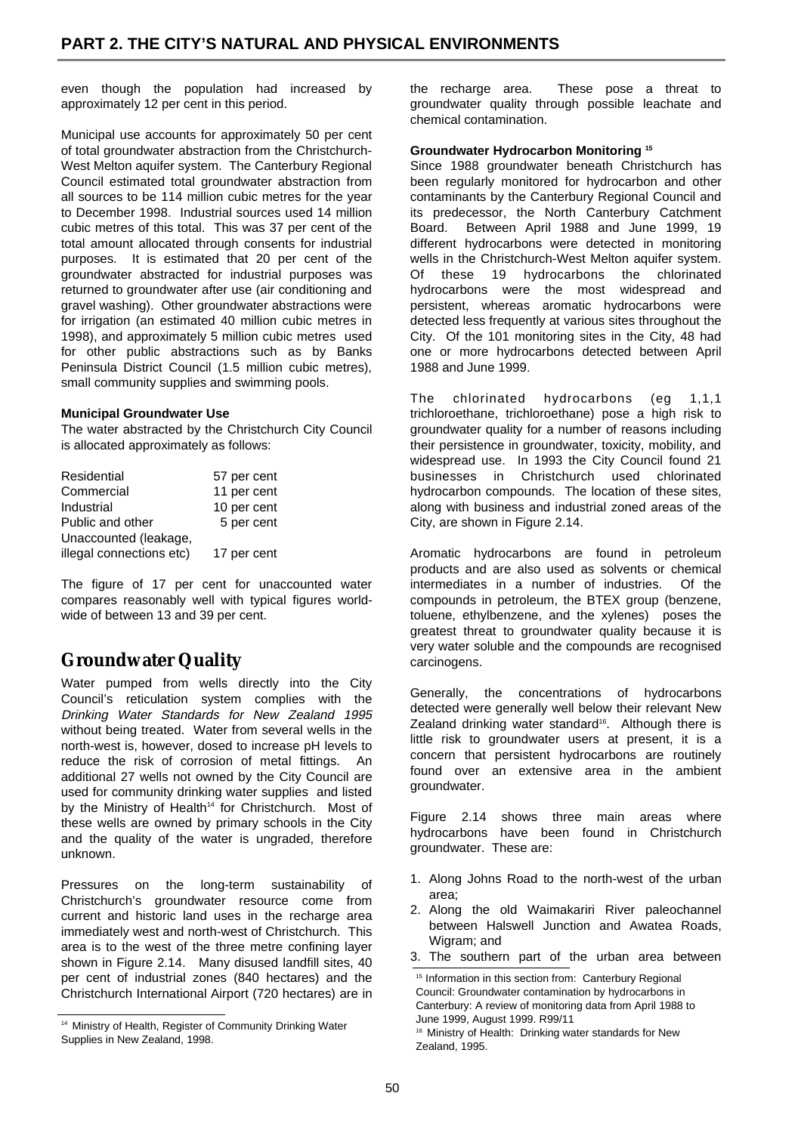even though the population had increased by approximately 12 per cent in this period.

Municipal use accounts for approximately 50 per cent of total groundwater abstraction from the Christchurch-West Melton aquifer system. The Canterbury Regional Council estimated total groundwater abstraction from all sources to be 114 million cubic metres for the year to December 1998. Industrial sources used 14 million cubic metres of this total. This was 37 per cent of the total amount allocated through consents for industrial purposes. It is estimated that 20 per cent of the groundwater abstracted for industrial purposes was returned to groundwater after use (air conditioning and gravel washing). Other groundwater abstractions were for irrigation (an estimated 40 million cubic metres in 1998), and approximately 5 million cubic metres used for other public abstractions such as by Banks Peninsula District Council (1.5 million cubic metres), small community supplies and swimming pools.

### **Municipal Groundwater Use**

The water abstracted by the Christchurch City Council is allocated approximately as follows:

| Residential              | 57 per cent |
|--------------------------|-------------|
| Commercial               | 11 per cent |
| Industrial               | 10 per cent |
| Public and other         | 5 per cent  |
| Unaccounted (leakage,    |             |
| illegal connections etc) | 17 per cent |

The figure of 17 per cent for unaccounted water compares reasonably well with typical figures worldwide of between 13 and 39 per cent.

# **Groundwater Quality**

Water pumped from wells directly into the City Council's reticulation system complies with the Drinking Water Standards for New Zealand 1995 without being treated. Water from several wells in the north-west is, however, dosed to increase pH levels to reduce the risk of corrosion of metal fittings. An additional 27 wells not owned by the City Council are used for community drinking water supplies and listed by the Ministry of Health<sup>14</sup> for Christchurch. Most of these wells are owned by primary schools in the City and the quality of the water is ungraded, therefore unknown.

Pressures on the long-term sustainability of Christchurch's groundwater resource come from current and historic land uses in the recharge area immediately west and north-west of Christchurch. This area is to the west of the three metre confining layer shown in Figure 2.14. Many disused landfill sites, 40 per cent of industrial zones (840 hectares) and the Christchurch International Airport (720 hectares) are in the recharge area. These pose a threat to groundwater quality through possible leachate and chemical contamination.

### **Groundwater Hydrocarbon Monitoring 15**

Since 1988 groundwater beneath Christchurch has been regularly monitored for hydrocarbon and other contaminants by the Canterbury Regional Council and its predecessor, the North Canterbury Catchment Board. Between April 1988 and June 1999, 19 different hydrocarbons were detected in monitoring wells in the Christchurch-West Melton aquifer system. Of these 19 hydrocarbons the chlorinated hydrocarbons were the most widespread and persistent, whereas aromatic hydrocarbons were detected less frequently at various sites throughout the City. Of the 101 monitoring sites in the City, 48 had one or more hydrocarbons detected between April 1988 and June 1999.

The chlorinated hydrocarbons (eg 1,1,1 trichloroethane, trichloroethane) pose a high risk to groundwater quality for a number of reasons including their persistence in groundwater, toxicity, mobility, and widespread use. In 1993 the City Council found 21 businesses in Christchurch used chlorinated hydrocarbon compounds. The location of these sites, along with business and industrial zoned areas of the City, are shown in Figure 2.14.

Aromatic hydrocarbons are found in petroleum products and are also used as solvents or chemical intermediates in a number of industries. Of the compounds in petroleum, the BTEX group (benzene, toluene, ethylbenzene, and the xylenes) poses the greatest threat to groundwater quality because it is very water soluble and the compounds are recognised carcinogens.

Generally, the concentrations of hydrocarbons detected were generally well below their relevant New Zealand drinking water standard<sup>16</sup>. Although there is little risk to groundwater users at present, it is a concern that persistent hydrocarbons are routinely found over an extensive area in the ambient groundwater.

Figure 2.14 shows three main areas where hydrocarbons have been found in Christchurch groundwater. These are:

- 1. Along Johns Road to the north-west of the urban area;
- 2. Along the old Waimakariri River paleochannel between Halswell Junction and Awatea Roads, Wigram; and
- 3. The southern part of the urban area between

<sup>&</sup>lt;sup>14</sup> Ministry of Health, Register of Community Drinking Water Supplies in New Zealand, 1998.

<sup>&</sup>lt;sup>15</sup> Information in this section from: Canterbury Regional Council: Groundwater contamination by hydrocarbons in Canterbury: A review of monitoring data from April 1988 to June 1999, August 1999. R99/11

<sup>&</sup>lt;sup>16</sup> Ministry of Health: Drinking water standards for New Zealand, 1995.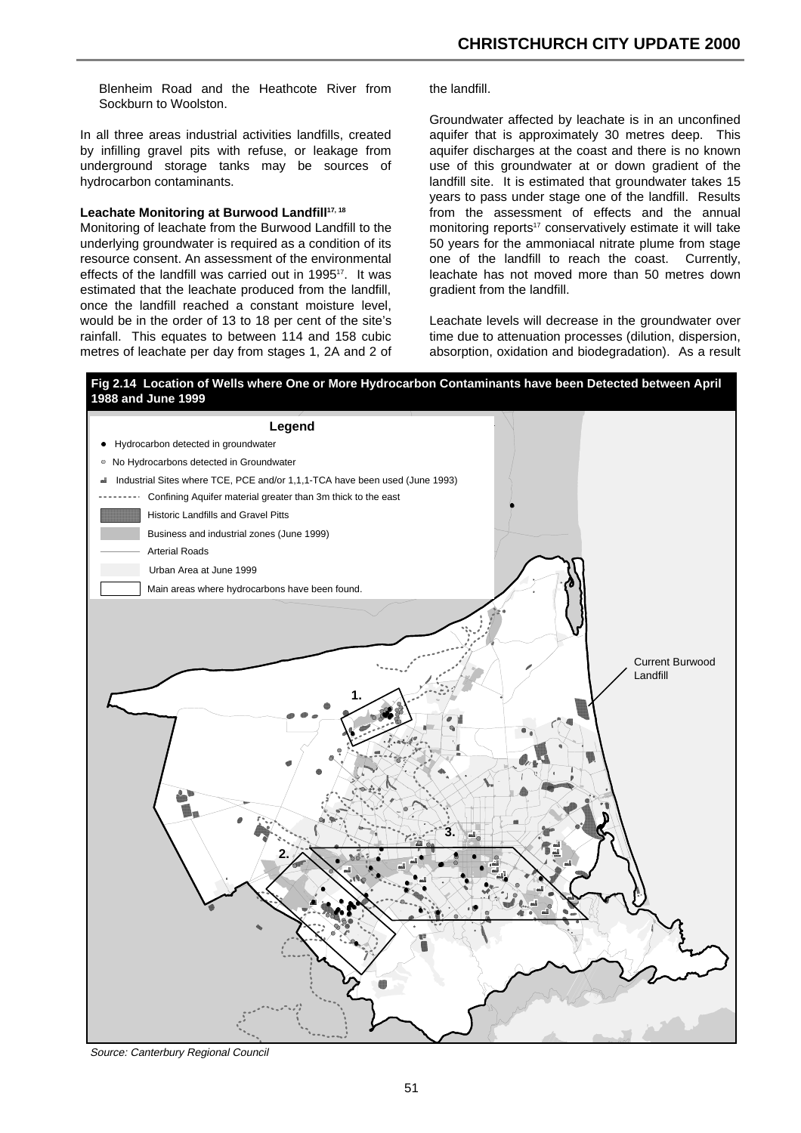Blenheim Road and the Heathcote River from Sockburn to Woolston.

In all three areas industrial activities landfills, created by infilling gravel pits with refuse, or leakage from underground storage tanks may be sources of hydrocarbon contaminants.

#### Leachate Monitoring at Burwood Landfill<sup>17, 18</sup>

Monitoring of leachate from the Burwood Landfill to the underlying groundwater is required as a condition of its resource consent. An assessment of the environmental effects of the landfill was carried out in 1995<sup>17</sup>. It was estimated that the leachate produced from the landfill, once the landfill reached a constant moisture level, would be in the order of 13 to 18 per cent of the site's rainfall. This equates to between 114 and 158 cubic metres of leachate per day from stages 1, 2A and 2 of the landfill.

Groundwater affected by leachate is in an unconfined aquifer that is approximately 30 metres deep. This aquifer discharges at the coast and there is no known use of this groundwater at or down gradient of the landfill site. It is estimated that groundwater takes 15 years to pass under stage one of the landfill. Results from the assessment of effects and the annual monitoring reports<sup>17</sup> conservatively estimate it will take 50 years for the ammoniacal nitrate plume from stage one of the landfill to reach the coast. Currently, leachate has not moved more than 50 metres down gradient from the landfill.

Leachate levels will decrease in the groundwater over time due to attenuation processes (dilution, dispersion, absorption, oxidation and biodegradation). As a result



Source: Canterbury Regional Council